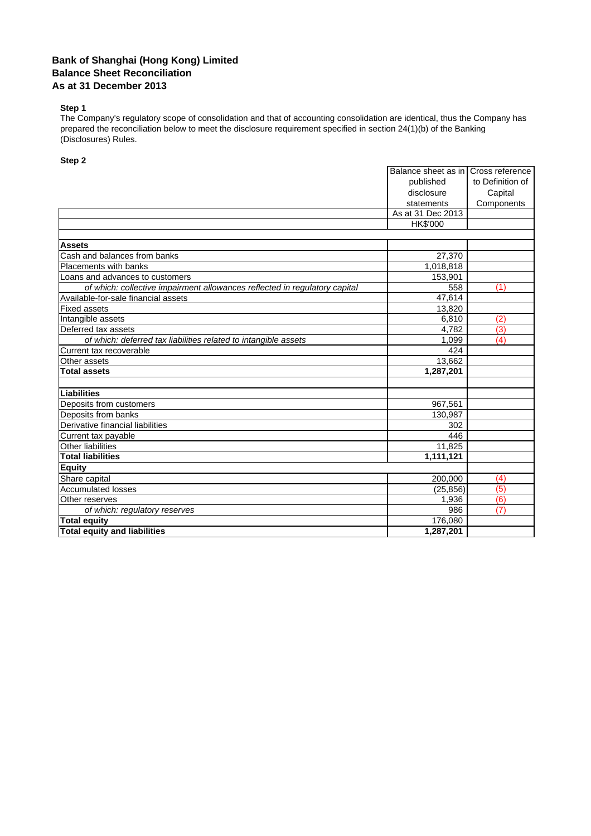## **Bank of Shanghai (Hong Kong) Limited Balance Sheet Reconciliation As at 31 December 2013**

## **Step 1**

The Company's regulatory scope of consolidation and that of accounting consolidation are identical, thus the Company has prepared the reconciliation below to meet the disclosure requirement specified in section 24(1)(b) of the Banking (Disclosures) Rules.

## **Step 2**

|                                                                            | Balance sheet as in<br>Cross reference |                  |
|----------------------------------------------------------------------------|----------------------------------------|------------------|
|                                                                            | published                              | to Definition of |
|                                                                            | disclosure                             | Capital          |
|                                                                            | statements                             | Components       |
|                                                                            | As at 31 Dec 2013                      |                  |
|                                                                            | HK\$'000                               |                  |
|                                                                            |                                        |                  |
| <b>Assets</b>                                                              |                                        |                  |
| Cash and balances from banks                                               | 27,370                                 |                  |
| Placements with banks                                                      | 1,018,818                              |                  |
| Loans and advances to customers                                            | 153,901                                |                  |
| of which: collective impairment allowances reflected in regulatory capital | 558                                    | (1)              |
| Available-for-sale financial assets                                        | 47,614                                 |                  |
| <b>Fixed assets</b>                                                        | 13,820                                 |                  |
| Intangible assets                                                          | 6,810                                  | (2)              |
| Deferred tax assets                                                        | 4,782                                  | (3)              |
| of which: deferred tax liabilities related to intangible assets            | 1.099                                  | (4)              |
| Current tax recoverable                                                    | 424                                    |                  |
| Other assets                                                               | 13.662                                 |                  |
| 1,287,201<br><b>Total assets</b>                                           |                                        |                  |
|                                                                            |                                        |                  |
| Liabilities                                                                |                                        |                  |
| Deposits from customers                                                    | 967,561                                |                  |
| Deposits from banks                                                        | 130,987                                |                  |
| Derivative financial liabilities                                           | 302                                    |                  |
| Current tax payable                                                        | 446                                    |                  |
| <b>Other liabilities</b>                                                   | 11,825                                 |                  |
| <b>Total liabilities</b>                                                   | 1,111,121                              |                  |
| <b>Equity</b>                                                              |                                        |                  |
| Share capital                                                              | 200,000                                | (4)              |
| <b>Accumulated losses</b>                                                  | (25, 856)                              | (5)              |
| Other reserves                                                             | 1,936                                  | (6)              |
| of which: regulatory reserves                                              | 986                                    | (7)              |
| <b>Total equity</b>                                                        | 176,080                                |                  |
| <b>Total equity and liabilities</b>                                        | 1,287,201                              |                  |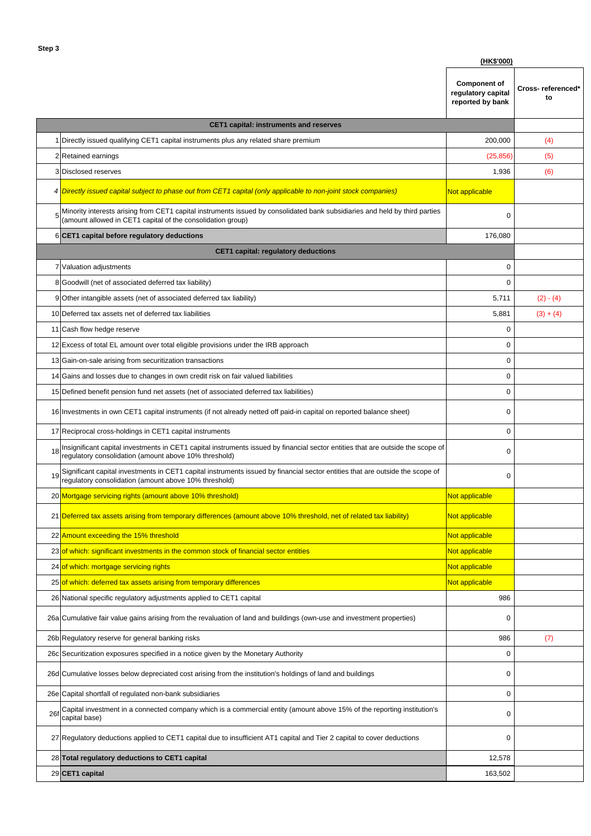|                                               |                                                                                                                                                                                                         | (HK\$'000)                                                    |                         |  |  |
|-----------------------------------------------|---------------------------------------------------------------------------------------------------------------------------------------------------------------------------------------------------------|---------------------------------------------------------------|-------------------------|--|--|
|                                               |                                                                                                                                                                                                         | <b>Component of</b><br>regulatory capital<br>reported by bank | Cross-referenced'<br>to |  |  |
| <b>CET1 capital: instruments and reserves</b> |                                                                                                                                                                                                         |                                                               |                         |  |  |
|                                               | 1 Directly issued qualifying CET1 capital instruments plus any related share premium                                                                                                                    | 200,000                                                       | (4)                     |  |  |
|                                               | 2 Retained earnings                                                                                                                                                                                     | (25, 856)                                                     | (5)                     |  |  |
|                                               | 3 Disclosed reserves                                                                                                                                                                                    | 1,936                                                         | (6)                     |  |  |
|                                               | 4 Directly issued capital subject to phase out from CET1 capital (only applicable to non-joint stock companies)                                                                                         | Not applicable                                                |                         |  |  |
|                                               | 5 <sup>Minority interests arising from CET1 capital instruments issued by consolidated bank subsidiaries and held by third parties</sup><br>(amount allowed in CET1 capital of the consolidation group) | 0                                                             |                         |  |  |
|                                               | 6 CET1 capital before regulatory deductions                                                                                                                                                             | 176,080                                                       |                         |  |  |
|                                               | <b>CET1 capital: regulatory deductions</b>                                                                                                                                                              |                                                               |                         |  |  |
|                                               | 7 Valuation adjustments                                                                                                                                                                                 | 0                                                             |                         |  |  |
|                                               | 8 Goodwill (net of associated deferred tax liability)                                                                                                                                                   | 0                                                             |                         |  |  |
|                                               | 9 Other intangible assets (net of associated deferred tax liability)                                                                                                                                    | 5,711                                                         | $(2) - (4)$             |  |  |
|                                               | 10 Deferred tax assets net of deferred tax liabilities                                                                                                                                                  | 5,881                                                         | $(3) + (4)$             |  |  |
|                                               | 11 Cash flow hedge reserve                                                                                                                                                                              | 0                                                             |                         |  |  |
|                                               | 12 Excess of total EL amount over total eligible provisions under the IRB approach                                                                                                                      | 0                                                             |                         |  |  |
|                                               | 13 Gain-on-sale arising from securitization transactions                                                                                                                                                | 0                                                             |                         |  |  |
|                                               | 14 Gains and losses due to changes in own credit risk on fair valued liabilities                                                                                                                        | 0                                                             |                         |  |  |
|                                               | 15 Defined benefit pension fund net assets (net of associated deferred tax liabilities)                                                                                                                 | 0                                                             |                         |  |  |
|                                               | 16 Investments in own CET1 capital instruments (if not already netted off paid-in capital on reported balance sheet)                                                                                    | 0                                                             |                         |  |  |
|                                               | 17 Reciprocal cross-holdings in CET1 capital instruments                                                                                                                                                | 0                                                             |                         |  |  |
| 18                                            | Insignificant capital investments in CET1 capital instruments issued by financial sector entities that are outside the scope of<br>regulatory consolidation (amount above 10% threshold)                | 0                                                             |                         |  |  |
|                                               | 19 Significant capital investments in CET1 capital instruments issued by financial sector entities that are outside the scope of<br>regulatory consolidation (amount above 10% threshold)               | 0                                                             |                         |  |  |
|                                               | 20 Mortgage servicing rights (amount above 10% threshold)                                                                                                                                               | Not applicable                                                |                         |  |  |
|                                               | 21 Deferred tax assets arising from temporary differences (amount above 10% threshold, net of related tax liability)                                                                                    | Not applicable                                                |                         |  |  |
| 22                                            | Amount exceeding the 15% threshold                                                                                                                                                                      | Not applicable                                                |                         |  |  |
| 23                                            | of which: significant investments in the common stock of financial sector entities                                                                                                                      | Not applicable                                                |                         |  |  |
| 24                                            | of which: mortgage servicing rights                                                                                                                                                                     | Not applicable                                                |                         |  |  |
|                                               | 25 of which: deferred tax assets arising from temporary differences                                                                                                                                     | Not applicable                                                |                         |  |  |
|                                               | 26 National specific regulatory adjustments applied to CET1 capital                                                                                                                                     | 986                                                           |                         |  |  |
|                                               | 26a Cumulative fair value gains arising from the revaluation of land and buildings (own-use and investment properties)                                                                                  | 0                                                             |                         |  |  |
|                                               | 26b Regulatory reserve for general banking risks                                                                                                                                                        | 986                                                           | (7)                     |  |  |
|                                               | 26c Securitization exposures specified in a notice given by the Monetary Authority                                                                                                                      | 0                                                             |                         |  |  |
|                                               | 26d Cumulative losses below depreciated cost arising from the institution's holdings of land and buildings                                                                                              | 0                                                             |                         |  |  |
|                                               | 26e Capital shortfall of regulated non-bank subsidiaries                                                                                                                                                | 0                                                             |                         |  |  |
| 26f                                           | Capital investment in a connected company which is a commercial entity (amount above 15% of the reporting institution's<br>capital base)                                                                | 0                                                             |                         |  |  |
|                                               | 27 Regulatory deductions applied to CET1 capital due to insufficient AT1 capital and Tier 2 capital to cover deductions                                                                                 | 0                                                             |                         |  |  |
|                                               | 28 Total regulatory deductions to CET1 capital                                                                                                                                                          | 12,578                                                        |                         |  |  |
|                                               | 29 CET1 capital                                                                                                                                                                                         | 163,502                                                       |                         |  |  |